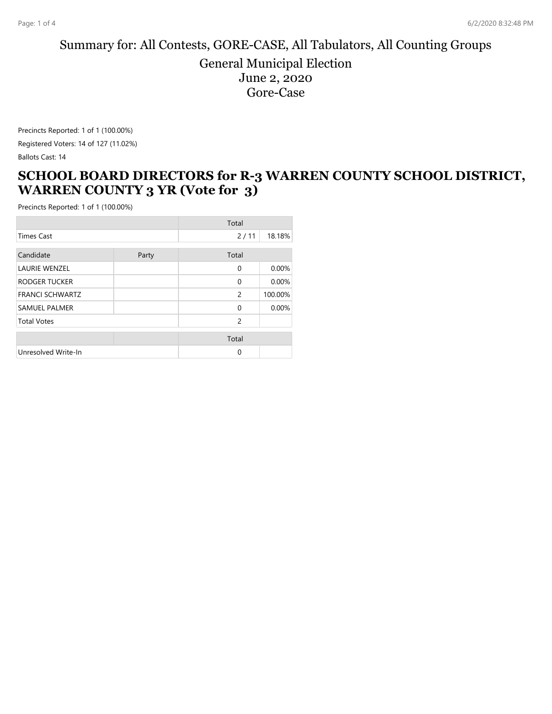### Summary for: All Contests, GORE-CASE, All Tabulators, All Counting Groups General Municipal Election June 2, 2020 Gore-Case

Precincts Reported: 1 of 1 (100.00%)

Registered Voters: 14 of 127 (11.02%)

Ballots Cast: 14

### **SCHOOL BOARD DIRECTORS for R-3 WARREN COUNTY SCHOOL DISTRICT, WARREN COUNTY 3 YR (Vote for 3)**

|                        |       | Total        |         |
|------------------------|-------|--------------|---------|
| <b>Times Cast</b>      |       | 2/11         | 18.18%  |
| Candidate              | Party | Total        |         |
| <b>LAURIE WENZEL</b>   |       | $\mathbf{0}$ | 0.00%   |
| RODGER TUCKER          |       | 0            | 0.00%   |
| <b>FRANCI SCHWARTZ</b> |       | 2            | 100.00% |
| <b>SAMUEL PALMER</b>   |       | $\Omega$     | 0.00%   |
| <b>Total Votes</b>     |       | 2            |         |
|                        |       | Total        |         |
| Unresolved Write-In    |       | $\Omega$     |         |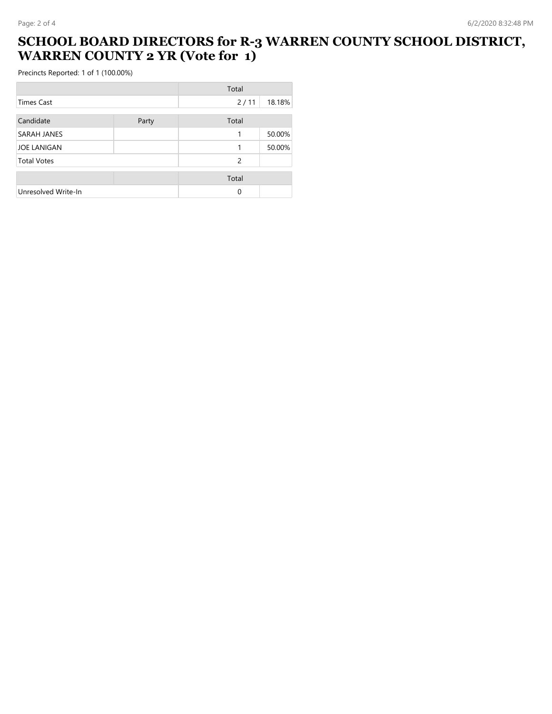## **SCHOOL BOARD DIRECTORS for R-3 WARREN COUNTY SCHOOL DISTRICT, WARREN COUNTY 2 YR (Vote for 1)**

|                     |       | Total |        |
|---------------------|-------|-------|--------|
| Times Cast          |       | 2/11  | 18.18% |
| Candidate           | Party | Total |        |
| SARAH JANES         |       | 1     | 50.00% |
| <b>JOE LANIGAN</b>  |       | 1     | 50.00% |
| <b>Total Votes</b>  |       | 2     |        |
|                     |       | Total |        |
| Unresolved Write-In |       | 0     |        |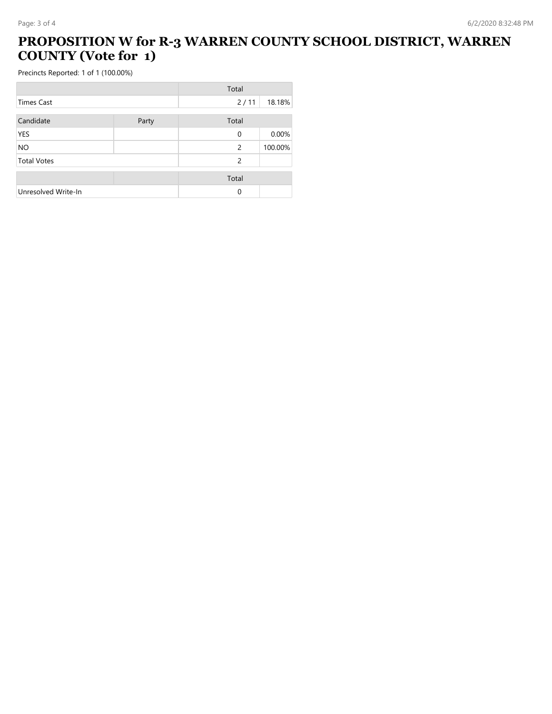# **PROPOSITION W for R-3 WARREN COUNTY SCHOOL DISTRICT, WARREN COUNTY (Vote for 1)**

|                     |       | Total |         |
|---------------------|-------|-------|---------|
| <b>Times Cast</b>   |       | 2/11  | 18.18%  |
| Candidate           | Party | Total |         |
| <b>YES</b>          |       | 0     | 0.00%   |
| <b>NO</b>           |       | 2     | 100.00% |
| <b>Total Votes</b>  |       | 2     |         |
|                     |       | Total |         |
| Unresolved Write-In |       | 0     |         |